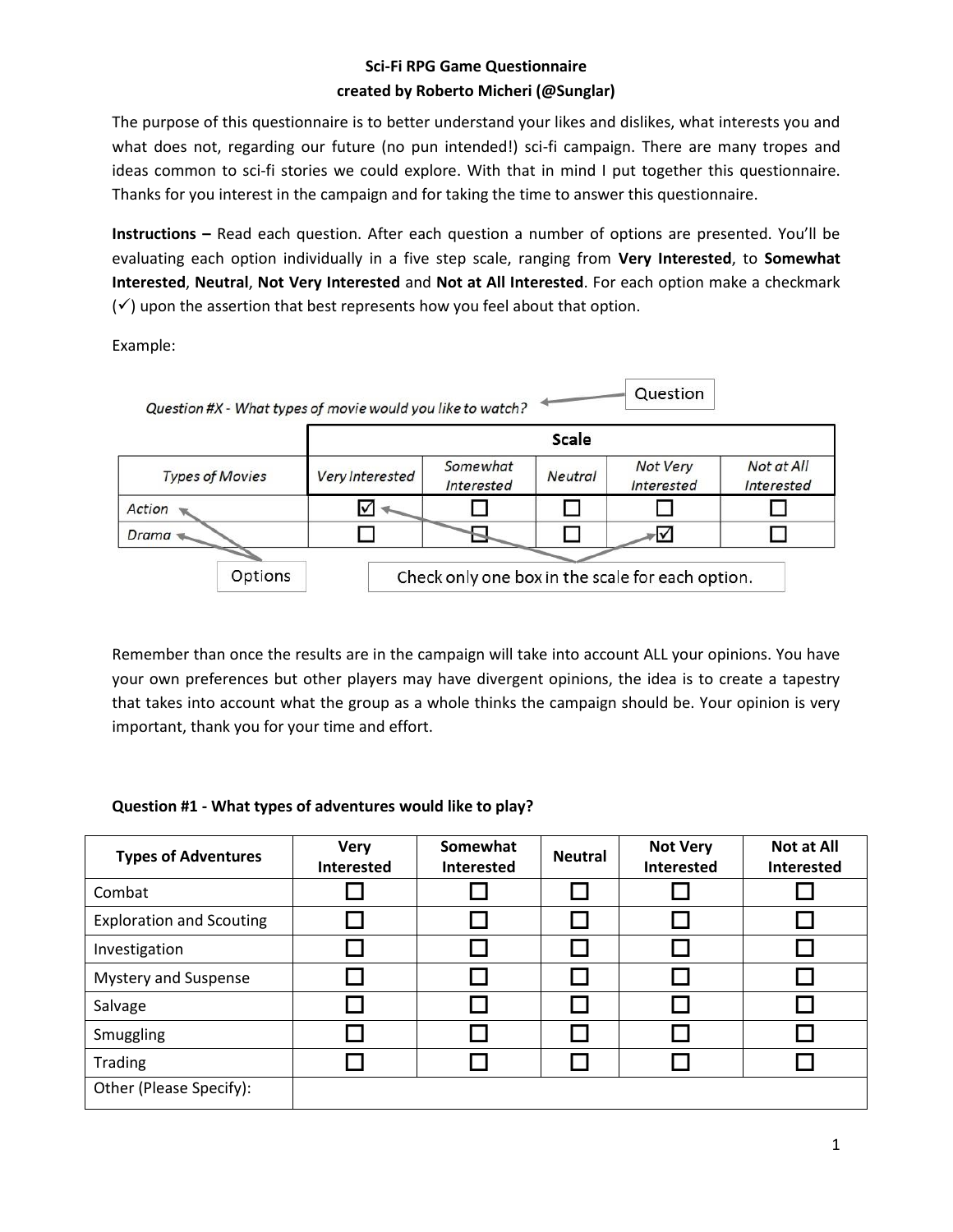#### **Sci-Fi RPG Game Questionnaire created by Roberto Micheri (@Sunglar)**

The purpose of this questionnaire is to better understand your likes and dislikes, what interests you and what does not, regarding our future (no pun intended!) sci-fi campaign. There are many tropes and ideas common to sci-fi stories we could explore. With that in mind I put together this questionnaire. Thanks for you interest in the campaign and for taking the time to answer this questionnaire.

**Instructions –** Read each question. After each question a number of options are presented. You'll be evaluating each option individually in a five step scale, ranging from **Very Interested**, to **Somewhat Interested**, **Neutral**, **Not Very Interested** and **Not at All Interested**. For each option make a checkmark  $(\checkmark)$  upon the assertion that best represents how you feel about that option.

Example:



Remember than once the results are in the campaign will take into account ALL your opinions. You have your own preferences but other players may have divergent opinions, the idea is to create a tapestry that takes into account what the group as a whole thinks the campaign should be. Your opinion is very important, thank you for your time and effort.

#### **Question #1 - What types of adventures would like to play?**

| <b>Types of Adventures</b>      | <b>Very</b><br><b>Interested</b> | Somewhat<br><b>Interested</b> | <b>Neutral</b> | <b>Not Very</b><br><b>Interested</b> | <b>Not at All</b><br><b>Interested</b> |
|---------------------------------|----------------------------------|-------------------------------|----------------|--------------------------------------|----------------------------------------|
| Combat                          |                                  |                               |                |                                      |                                        |
| <b>Exploration and Scouting</b> |                                  |                               |                |                                      |                                        |
| Investigation                   |                                  |                               |                |                                      |                                        |
| <b>Mystery and Suspense</b>     |                                  |                               |                |                                      |                                        |
| Salvage                         |                                  |                               |                |                                      |                                        |
| Smuggling                       |                                  |                               |                |                                      |                                        |
| <b>Trading</b>                  |                                  |                               |                |                                      |                                        |
| Other (Please Specify):         |                                  |                               |                |                                      |                                        |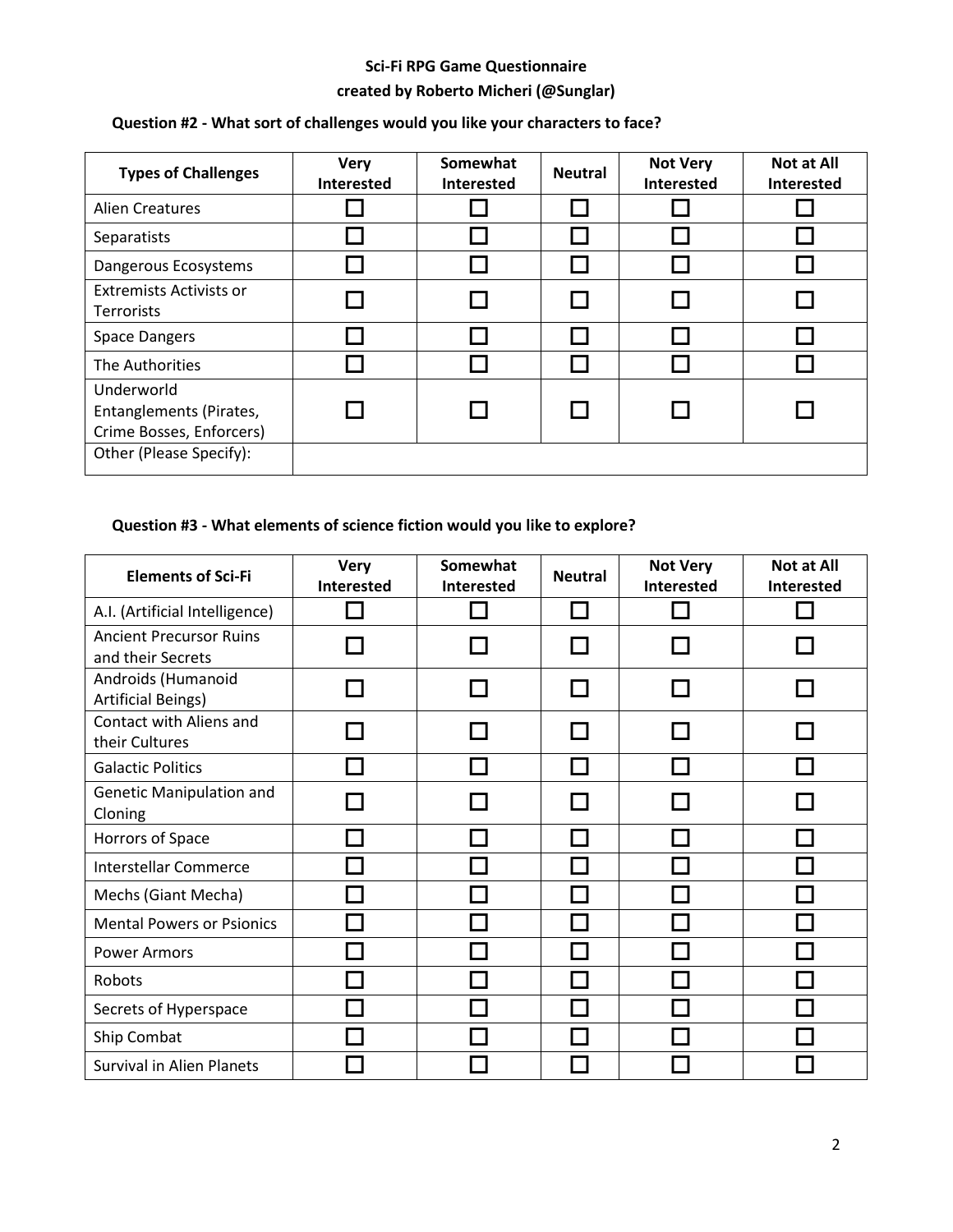# **Sci-Fi RPG Game Questionnaire created by Roberto Micheri (@Sunglar)**

| <b>Types of Challenges</b>                                        | <b>Very</b><br><b>Interested</b> | Somewhat<br>Interested | <b>Neutral</b> | <b>Not Very</b><br><b>Interested</b> | <b>Not at All</b><br><b>Interested</b> |
|-------------------------------------------------------------------|----------------------------------|------------------------|----------------|--------------------------------------|----------------------------------------|
| <b>Alien Creatures</b>                                            |                                  |                        |                |                                      |                                        |
| Separatists                                                       |                                  |                        |                |                                      |                                        |
| Dangerous Ecosystems                                              |                                  |                        |                |                                      |                                        |
| <b>Extremists Activists or</b><br><b>Terrorists</b>               |                                  |                        |                |                                      |                                        |
| <b>Space Dangers</b>                                              |                                  |                        |                |                                      |                                        |
| The Authorities                                                   |                                  |                        |                |                                      |                                        |
| Underworld<br>Entanglements (Pirates,<br>Crime Bosses, Enforcers) |                                  |                        |                |                                      |                                        |
| Other (Please Specify):                                           |                                  |                        |                |                                      |                                        |

# **Question #2 - What sort of challenges would you like your characters to face?**

## **Question #3 - What elements of science fiction would you like to explore?**

| <b>Elements of Sci-Fi</b>                           | <b>Very</b><br><b>Interested</b> | Somewhat<br><b>Interested</b> | <b>Neutral</b> | <b>Not Very</b><br><b>Interested</b> | <b>Not at All</b><br><b>Interested</b> |
|-----------------------------------------------------|----------------------------------|-------------------------------|----------------|--------------------------------------|----------------------------------------|
| A.I. (Artificial Intelligence)                      |                                  |                               |                |                                      |                                        |
| <b>Ancient Precursor Ruins</b><br>and their Secrets |                                  |                               |                |                                      |                                        |
| Androids (Humanoid<br><b>Artificial Beings)</b>     |                                  |                               |                |                                      |                                        |
| Contact with Aliens and<br>their Cultures           |                                  |                               |                |                                      |                                        |
| <b>Galactic Politics</b>                            |                                  |                               |                |                                      |                                        |
| <b>Genetic Manipulation and</b><br>Cloning          |                                  |                               |                |                                      |                                        |
| Horrors of Space                                    |                                  |                               |                |                                      |                                        |
| <b>Interstellar Commerce</b>                        |                                  |                               |                |                                      |                                        |
| Mechs (Giant Mecha)                                 |                                  |                               |                |                                      |                                        |
| <b>Mental Powers or Psionics</b>                    |                                  |                               |                |                                      |                                        |
| <b>Power Armors</b>                                 |                                  |                               |                |                                      |                                        |
| Robots                                              |                                  |                               |                |                                      |                                        |
| Secrets of Hyperspace                               |                                  |                               |                |                                      |                                        |
| Ship Combat                                         |                                  |                               |                |                                      |                                        |
| <b>Survival in Alien Planets</b>                    |                                  |                               |                |                                      |                                        |